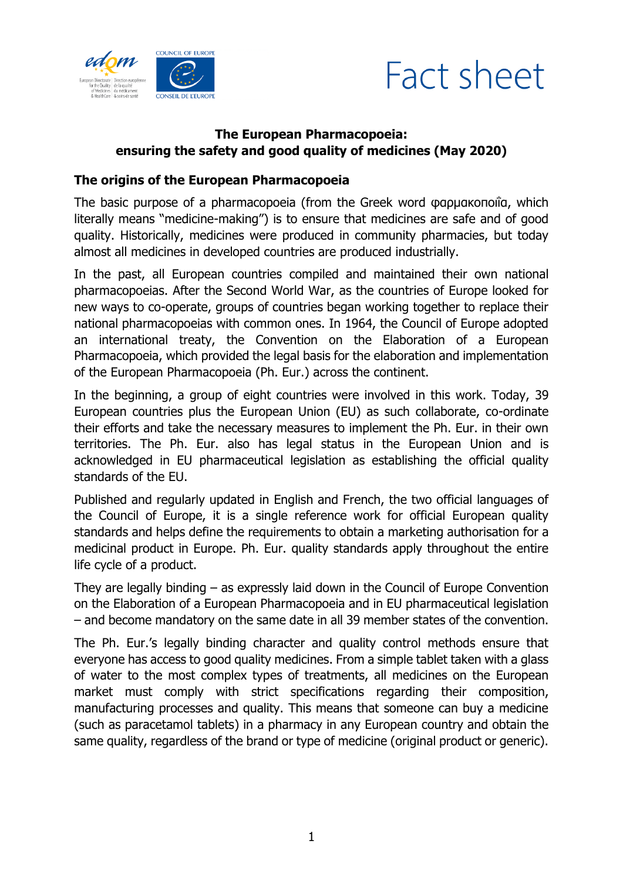



## **The European Pharmacopoeia: ensuring the safety and good quality of medicines (May 2020)**

#### **The origins of the European Pharmacopoeia**

The basic purpose of a pharmacopoeia (from the Greek word φαρμακοποιΐα, which literally means "medicine-making") is to ensure that medicines are safe and of good quality. Historically, medicines were produced in community pharmacies, but today almost all medicines in developed countries are produced industrially.

In the past, all European countries compiled and maintained their own national pharmacopoeias. After the Second World War, as the countries of Europe looked for new ways to co-operate, groups of countries began working together to replace their national pharmacopoeias with common ones. In 1964, the Council of Europe adopted an international treaty, the Convention on the Elaboration of a European Pharmacopoeia, which provided the legal basis for the elaboration and implementation of the European Pharmacopoeia (Ph. Eur.) across the continent.

In the beginning, a group of eight countries were involved in this work. Today, 39 European countries plus the European Union (EU) as such collaborate, co-ordinate their efforts and take the necessary measures to implement the Ph. Eur. in their own territories. The Ph. Eur. also has legal status in the European Union and is acknowledged in EU pharmaceutical legislation as establishing the official quality standards of the EU.

Published and regularly updated in English and French, the two official languages of the Council of Europe, it is a single reference work for official European quality standards and helps define the requirements to obtain a marketing authorisation for a medicinal product in Europe. Ph. Eur. quality standards apply throughout the entire life cycle of a product.

They are legally binding – as expressly laid down in the Council of Europe Convention on the Elaboration of a European Pharmacopoeia and in EU pharmaceutical legislation – and become mandatory on the same date in all 39 member states of the convention.

The Ph. Eur.'s legally binding character and quality control methods ensure that everyone has access to good quality medicines. From a simple tablet taken with a glass of water to the most complex types of treatments, all medicines on the European market must comply with strict specifications regarding their composition, manufacturing processes and quality. This means that someone can buy a medicine (such as paracetamol tablets) in a pharmacy in any European country and obtain the same quality, regardless of the brand or type of medicine (original product or generic).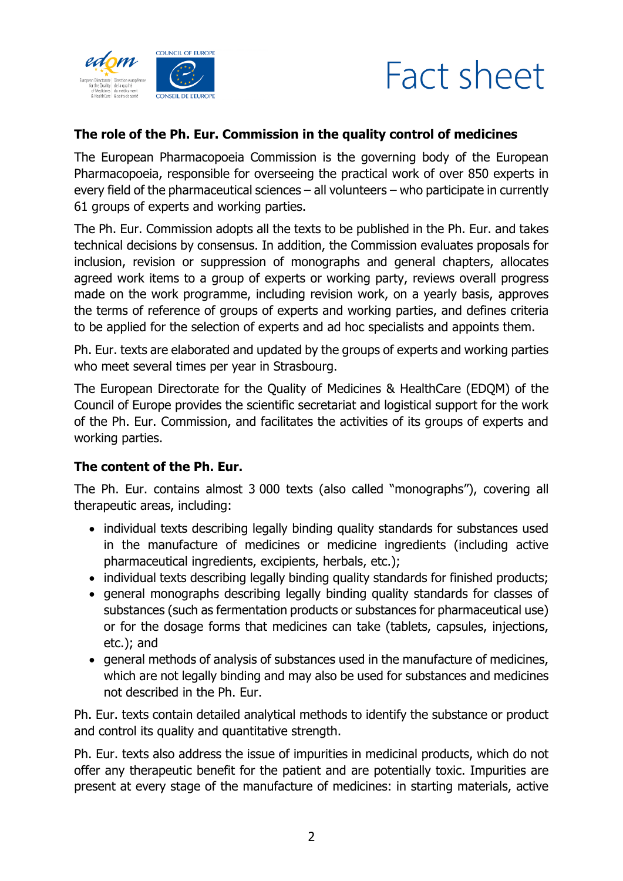



#### **The role of the Ph. Eur. Commission in the quality control of medicines**

The European Pharmacopoeia Commission is the governing body of the European Pharmacopoeia, responsible for overseeing the practical work of over 850 experts in every field of the pharmaceutical sciences – all volunteers – who participate in currently 61 groups of experts and working parties.

The Ph. Eur. Commission adopts all the texts to be published in the Ph. Eur. and takes technical decisions by consensus. In addition, the Commission evaluates proposals for inclusion, revision or suppression of monographs and general chapters, allocates agreed work items to a group of experts or working party, reviews overall progress made on the work programme, including revision work, on a yearly basis, approves the terms of reference of groups of experts and working parties, and defines criteria to be applied for the selection of experts and ad hoc specialists and appoints them.

Ph. Eur. texts are elaborated and updated by the groups of experts and working parties who meet several times per year in Strasbourg.

The European Directorate for the Quality of Medicines & HealthCare (EDQM) of the Council of Europe provides the scientific secretariat and logistical support for the work of the Ph. Eur. Commission, and facilitates the activities of its groups of experts and working parties.

#### **The content of the Ph. Eur.**

The Ph. Eur. contains almost 3 000 texts (also called "monographs"), covering all therapeutic areas, including:

- individual texts describing legally binding quality standards for substances used in the manufacture of medicines or medicine ingredients (including active pharmaceutical ingredients, excipients, herbals, etc.);
- individual texts describing legally binding quality standards for finished products;
- general monographs describing legally binding quality standards for classes of substances (such as fermentation products or substances for pharmaceutical use) or for the dosage forms that medicines can take (tablets, capsules, injections, etc.); and
- general methods of analysis of substances used in the manufacture of medicines, which are not legally binding and may also be used for substances and medicines not described in the Ph. Eur.

Ph. Eur. texts contain detailed analytical methods to identify the substance or product and control its quality and quantitative strength.

Ph. Eur. texts also address the issue of impurities in medicinal products, which do not offer any therapeutic benefit for the patient and are potentially toxic. Impurities are present at every stage of the manufacture of medicines: in starting materials, active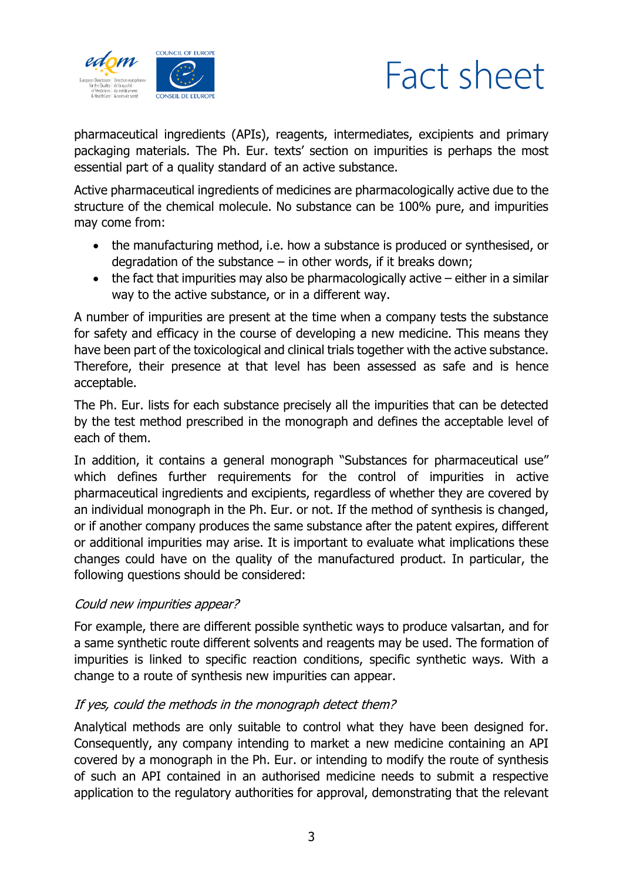



pharmaceutical ingredients (APIs), reagents, intermediates, excipients and primary packaging materials. The Ph. Eur. texts' section on impurities is perhaps the most essential part of a quality standard of an active substance.

Active pharmaceutical ingredients of medicines are pharmacologically active due to the structure of the chemical molecule. No substance can be 100% pure, and impurities may come from:

- the manufacturing method, i.e. how a substance is produced or synthesised, or degradation of the substance  $-$  in other words, if it breaks down;
- $\bullet$  the fact that impurities may also be pharmacologically active either in a similar way to the active substance, or in a different way.

A number of impurities are present at the time when a company tests the substance for safety and efficacy in the course of developing a new medicine. This means they have been part of the toxicological and clinical trials together with the active substance. Therefore, their presence at that level has been assessed as safe and is hence acceptable.

The Ph. Eur. lists for each substance precisely all the impurities that can be detected by the test method prescribed in the monograph and defines the acceptable level of each of them.

In addition, it contains a general monograph "Substances for pharmaceutical use" which defines further requirements for the control of impurities in active pharmaceutical ingredients and excipients, regardless of whether they are covered by an individual monograph in the Ph. Eur. or not. If the method of synthesis is changed, or if another company produces the same substance after the patent expires, different or additional impurities may arise. It is important to evaluate what implications these changes could have on the quality of the manufactured product. In particular, the following questions should be considered:

## Could new impurities appear?

For example, there are different possible synthetic ways to produce valsartan, and for a same synthetic route different solvents and reagents may be used. The formation of impurities is linked to specific reaction conditions, specific synthetic ways. With a change to a route of synthesis new impurities can appear.

## If yes, could the methods in the monograph detect them?

Analytical methods are only suitable to control what they have been designed for. Consequently, any company intending to market a new medicine containing an API covered by a monograph in the Ph. Eur. or intending to modify the route of synthesis of such an API contained in an authorised medicine needs to submit a respective application to the regulatory authorities for approval, demonstrating that the relevant